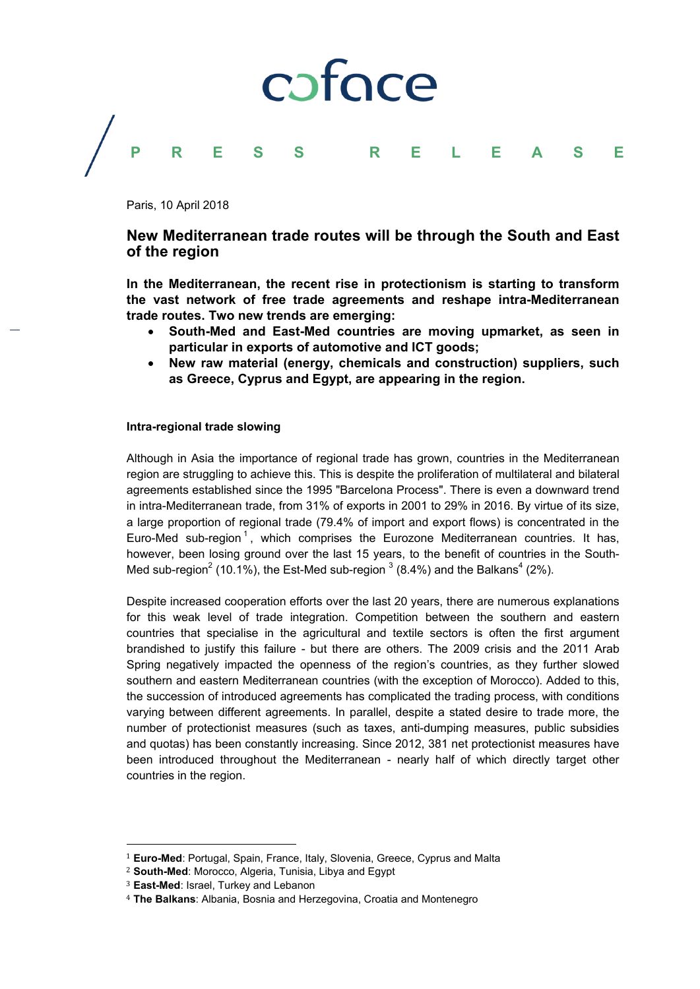

Paris, 10 April 2018

# **New Mediterranean trade routes will be through the South and East of the region**

**In the Mediterranean, the recent rise in protectionism is starting to transform the vast network of free trade agreements and reshape intra-Mediterranean trade routes. Two new trends are emerging:** 

- **South-Med and East-Med countries are moving upmarket, as seen in particular in exports of automotive and ICT goods;**
- **New raw material (energy, chemicals and construction) suppliers, such as Greece, Cyprus and Egypt, are appearing in the region.**

#### **Intra-regional trade slowing**

Although in Asia the importance of regional trade has grown, countries in the Mediterranean region are struggling to achieve this. This is despite the proliferation of multilateral and bilateral agreements established since the 1995 "Barcelona Process". There is even a downward trend in intra-Mediterranean trade, from 31% of exports in 2001 to 29% in 2016. By virtue of its size, a large proportion of regional trade (79.4% of import and export flows) is concentrated in the Euro-Med sub-region<sup>1</sup>, which comprises the Eurozone Mediterranean countries. It has, however, been losing ground over the last 15 years, to the benefit of countries in the South-Med sub-region<sup>2</sup> (10.1%), the Est-Med sub-region  $3(8.4%)$  and the Balkans<sup>4</sup> (2%).

Despite increased cooperation efforts over the last 20 years, there are numerous explanations for this weak level of trade integration. Competition between the southern and eastern countries that specialise in the agricultural and textile sectors is often the first argument brandished to justify this failure - but there are others. The 2009 crisis and the 2011 Arab Spring negatively impacted the openness of the region's countries, as they further slowed southern and eastern Mediterranean countries (with the exception of Morocco). Added to this, the succession of introduced agreements has complicated the trading process, with conditions varying between different agreements. In parallel, despite a stated desire to trade more, the number of protectionist measures (such as taxes, anti-dumping measures, public subsidies and quotas) has been constantly increasing. Since 2012, 381 net protectionist measures have been introduced throughout the Mediterranean - nearly half of which directly target other countries in the region.

 

<sup>&</sup>lt;sup>1</sup> Euro-Med: Portugal, Spain, France, Italy, Slovenia, Greece, Cyprus and Malta

<sup>2</sup> **South-Med**: Morocco, Algeria, Tunisia, Libya and Egypt

<sup>3</sup> **East-Med**: Israel, Turkey and Lebanon

<sup>4</sup> **The Balkans**: Albania, Bosnia and Herzegovina, Croatia and Montenegro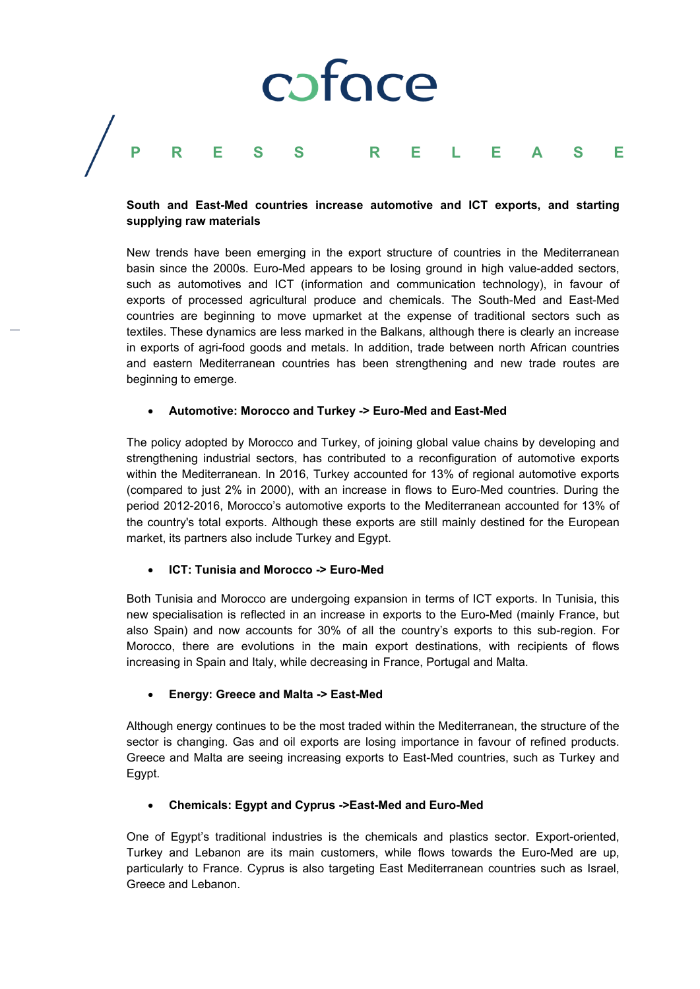# cofoce **PRESS RELEASE**

## **South and East-Med countries increase automotive and ICT exports, and starting supplying raw materials**

New trends have been emerging in the export structure of countries in the Mediterranean basin since the 2000s. Euro-Med appears to be losing ground in high value-added sectors, such as automotives and ICT (information and communication technology), in favour of exports of processed agricultural produce and chemicals. The South-Med and East-Med countries are beginning to move upmarket at the expense of traditional sectors such as textiles. These dynamics are less marked in the Balkans, although there is clearly an increase in exports of agri-food goods and metals. In addition, trade between north African countries and eastern Mediterranean countries has been strengthening and new trade routes are beginning to emerge.

## **Automotive: Morocco and Turkey -> Euro-Med and East-Med**

The policy adopted by Morocco and Turkey, of joining global value chains by developing and strengthening industrial sectors, has contributed to a reconfiguration of automotive exports within the Mediterranean. In 2016, Turkey accounted for 13% of regional automotive exports (compared to just 2% in 2000), with an increase in flows to Euro-Med countries. During the period 2012-2016, Morocco's automotive exports to the Mediterranean accounted for 13% of the country's total exports. Although these exports are still mainly destined for the European market, its partners also include Turkey and Egypt.

#### **ICT: Tunisia and Morocco -> Euro-Med**

Both Tunisia and Morocco are undergoing expansion in terms of ICT exports. In Tunisia, this new specialisation is reflected in an increase in exports to the Euro-Med (mainly France, but also Spain) and now accounts for 30% of all the country's exports to this sub-region. For Morocco, there are evolutions in the main export destinations, with recipients of flows increasing in Spain and Italy, while decreasing in France, Portugal and Malta.

# **Energy: Greece and Malta -> East-Med**

Although energy continues to be the most traded within the Mediterranean, the structure of the sector is changing. Gas and oil exports are losing importance in favour of refined products. Greece and Malta are seeing increasing exports to East-Med countries, such as Turkey and Egypt.

# **Chemicals: Egypt and Cyprus ->East-Med and Euro-Med**

One of Egypt's traditional industries is the chemicals and plastics sector. Export-oriented, Turkey and Lebanon are its main customers, while flows towards the Euro-Med are up, particularly to France. Cyprus is also targeting East Mediterranean countries such as Israel, Greece and Lebanon.